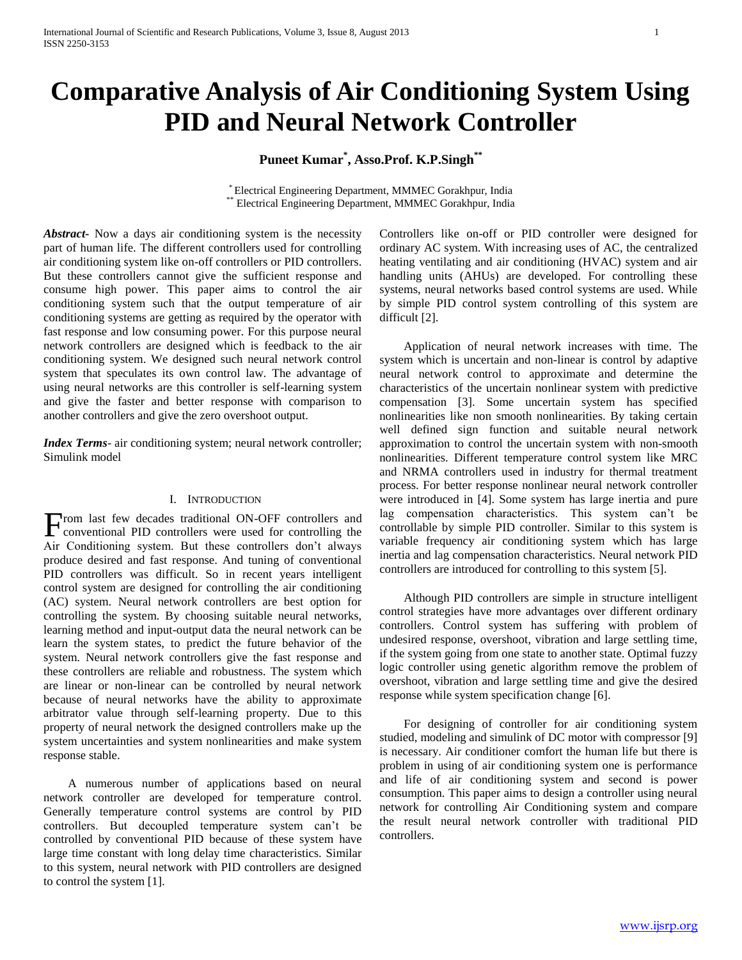# **Comparative Analysis of Air Conditioning System Using PID and Neural Network Controller**

## **Puneet Kumar\* , Asso.Prof. K.P.Singh\*\***

\* Electrical Engineering Department, MMMEC Gorakhpur, India \*\* Electrical Engineering Department, MMMEC Gorakhpur, India

*Abstract***-** Now a days air conditioning system is the necessity part of human life. The different controllers used for controlling air conditioning system like on-off controllers or PID controllers. But these controllers cannot give the sufficient response and consume high power. This paper aims to control the air conditioning system such that the output temperature of air conditioning systems are getting as required by the operator with fast response and low consuming power. For this purpose neural network controllers are designed which is feedback to the air conditioning system. We designed such neural network control system that speculates its own control law. The advantage of using neural networks are this controller is self-learning system and give the faster and better response with comparison to another controllers and give the zero overshoot output.

*Index Terms*- air conditioning system; neural network controller; Simulink model

## I. INTRODUCTION

From last few decades traditional ON-OFF controllers and conventional PID controllers were used for controlling the conventional PID controllers were used for controlling the Air Conditioning system. But these controllers don't always produce desired and fast response. And tuning of conventional PID controllers was difficult. So in recent years intelligent control system are designed for controlling the air conditioning (AC) system. Neural network controllers are best option for controlling the system. By choosing suitable neural networks, learning method and input-output data the neural network can be learn the system states, to predict the future behavior of the system. Neural network controllers give the fast response and these controllers are reliable and robustness. The system which are linear or non-linear can be controlled by neural network because of neural networks have the ability to approximate arbitrator value through self-learning property. Due to this property of neural network the designed controllers make up the system uncertainties and system nonlinearities and make system response stable.

 A numerous number of applications based on neural network controller are developed for temperature control. Generally temperature control systems are control by PID controllers. But decoupled temperature system can't be controlled by conventional PID because of these system have large time constant with long delay time characteristics. Similar to this system, neural network with PID controllers are designed to control the system [1].

Controllers like on-off or PID controller were designed for ordinary AC system. With increasing uses of AC, the centralized heating ventilating and air conditioning (HVAC) system and air handling units (AHUs) are developed. For controlling these systems, neural networks based control systems are used. While by simple PID control system controlling of this system are difficult [2].

 Application of neural network increases with time. The system which is uncertain and non-linear is control by adaptive neural network control to approximate and determine the characteristics of the uncertain nonlinear system with predictive compensation [3]. Some uncertain system has specified nonlinearities like non smooth nonlinearities. By taking certain well defined sign function and suitable neural network approximation to control the uncertain system with non-smooth nonlinearities. Different temperature control system like MRC and NRMA controllers used in industry for thermal treatment process. For better response nonlinear neural network controller were introduced in [4]. Some system has large inertia and pure lag compensation characteristics. This system can't be controllable by simple PID controller. Similar to this system is variable frequency air conditioning system which has large inertia and lag compensation characteristics. Neural network PID controllers are introduced for controlling to this system [5].

 Although PID controllers are simple in structure intelligent control strategies have more advantages over different ordinary controllers. Control system has suffering with problem of undesired response, overshoot, vibration and large settling time, if the system going from one state to another state. Optimal fuzzy logic controller using genetic algorithm remove the problem of overshoot, vibration and large settling time and give the desired response while system specification change [6].

 For designing of controller for air conditioning system studied, modeling and simulink of DC motor with compressor [9] is necessary. Air conditioner comfort the human life but there is problem in using of air conditioning system one is performance and life of air conditioning system and second is power consumption. This paper aims to design a controller using neural network for controlling Air Conditioning system and compare the result neural network controller with traditional PID controllers.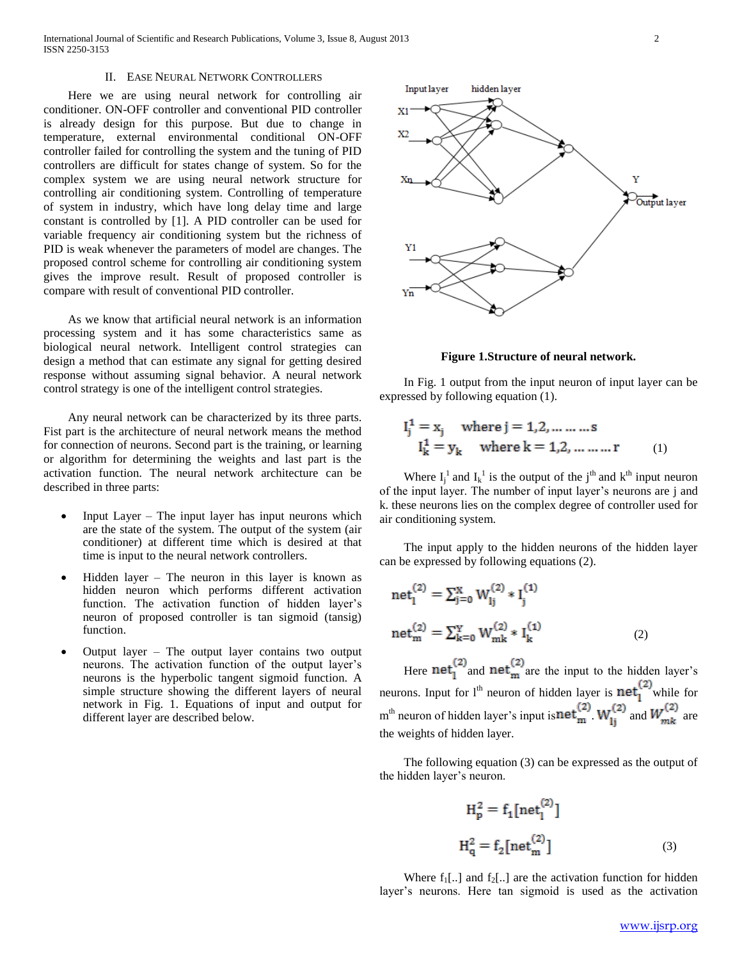International Journal of Scientific and Research Publications, Volume 3, Issue 8, August 2013 2 ISSN 2250-3153

## II. EASE NEURAL NETWORK CONTROLLERS

 Here we are using neural network for controlling air conditioner. ON-OFF controller and conventional PID controller is already design for this purpose. But due to change in temperature, external environmental conditional ON-OFF controller failed for controlling the system and the tuning of PID controllers are difficult for states change of system. So for the complex system we are using neural network structure for controlling air conditioning system. Controlling of temperature of system in industry, which have long delay time and large constant is controlled by [1]. A PID controller can be used for variable frequency air conditioning system but the richness of PID is weak whenever the parameters of model are changes. The proposed control scheme for controlling air conditioning system gives the improve result. Result of proposed controller is compare with result of conventional PID controller.

 As we know that artificial neural network is an information processing system and it has some characteristics same as biological neural network. Intelligent control strategies can design a method that can estimate any signal for getting desired response without assuming signal behavior. A neural network control strategy is one of the intelligent control strategies.

 Any neural network can be characterized by its three parts. Fist part is the architecture of neural network means the method for connection of neurons. Second part is the training, or learning or algorithm for determining the weights and last part is the activation function. The neural network architecture can be described in three parts:

- Input Layer The input layer has input neurons which are the state of the system. The output of the system (air conditioner) at different time which is desired at that time is input to the neural network controllers.
- Hidden layer The neuron in this layer is known as hidden neuron which performs different activation function. The activation function of hidden layer's neuron of proposed controller is tan sigmoid (tansig) function.
- Output layer The output layer contains two output neurons. The activation function of the output layer's neurons is the hyperbolic tangent sigmoid function. A simple structure showing the different layers of neural network in Fig. 1. Equations of input and output for different layer are described below.



**Figure 1.Structure of neural network.**

 In Fig. 1 output from the input neuron of input layer can be expressed by following equation (1).

$$
I_j^1 = x_j
$$
 where  $j = 1, 2, ..., ...$   
\n $I_k^1 = y_k$  where  $k = 1, 2, ..., ...$  (1)

Where  $I_j^1$  and  $I_k^1$  is the output of the j<sup>th</sup> and k<sup>th</sup> input neuron of the input layer. The number of input layer's neurons are j and k. these neurons lies on the complex degree of controller used for air conditioning system.

 The input apply to the hidden neurons of the hidden layer can be expressed by following equations (2).

net<sub>1</sub><sup>(2)</sup> = 
$$
\sum_{j=0}^{X} W_{lj}^{(2)} * I_{j}^{(1)}
$$
  
net<sub>m</sub><sup>(2)</sup> =  $\sum_{k=0}^{Y} W_{mk}^{(2)} * I_{k}^{(1)}$  (2)

Here  $net_1^{(2)}$  and  $net_m^{(2)}$  are the input to the hidden layer's neurons. Input for l<sup>th</sup> neuron of hidden layer is  $net_1^{(2)}$  while for m<sup>th</sup> neuron of hidden layer's input is  $\text{net}_{m}^{(2)}$   $W_{1i}^{(2)}$  and  $W_{mk}^{(2)}$  are the weights of hidden layer.

 The following equation (3) can be expressed as the output of the hidden layer's neuron.

$$
H_p^2 = f_1[\text{net}_1^{(2)}]
$$
  

$$
H_q^2 = f_2[\text{net}_m^{(2)}]
$$
 (3)

Where  $f_1$ [..] and  $f_2$ [..] are the activation function for hidden layer's neurons. Here tan sigmoid is used as the activation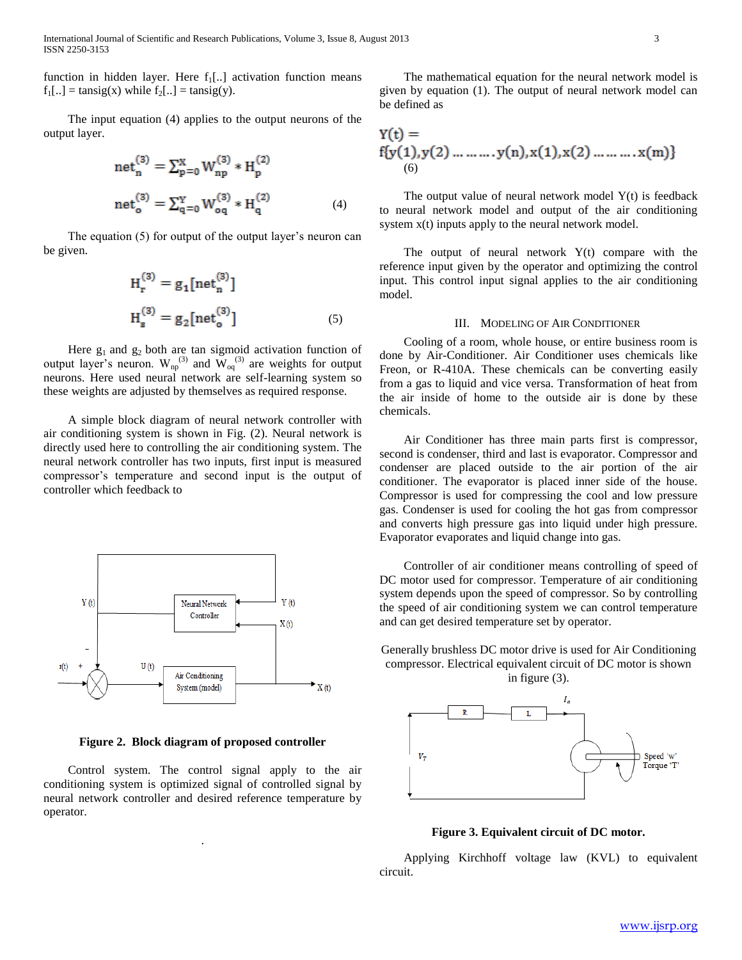International Journal of Scientific and Research Publications, Volume 3, Issue 8, August 2013 3 ISSN 2250-3153

function in hidden layer. Here  $f_1$ [..] activation function means  $f_1[...] = \text{tansig}(x)$  while  $f_2[...] = \text{tansig}(y)$ .

 The input equation (4) applies to the output neurons of the output layer.

net<sub>n</sub><sup>(3)</sup> = 
$$
\sum_{p=0}^{X} W_{np}^{(3)} * H_{p}^{(2)}
$$
  
net<sub>o</sub><sup>(3)</sup> =  $\sum_{q=0}^{Y} W_{oq}^{(3)} * H_{q}^{(2)}$  (4)

 The equation (5) for output of the output layer's neuron can be given.

$$
H_r^{(3)} = g_1[\text{net}_n^{(3)}]
$$
  

$$
H_s^{(3)} = g_2[\text{net}_o^{(3)}]
$$
 (5)

Here  $g_1$  and  $g_2$  both are tan sigmoid activation function of output layer's neuron.  $W_{np}^{(3)}$  and  $W_{nq}^{(3)}$  are weights for output neurons. Here used neural network are self-learning system so these weights are adjusted by themselves as required response.

 A simple block diagram of neural network controller with air conditioning system is shown in Fig. (2). Neural network is directly used here to controlling the air conditioning system. The neural network controller has two inputs, first input is measured compressor's temperature and second input is the output of controller which feedback to



**Figure 2. Block diagram of proposed controller**

 Control system. The control signal apply to the air conditioning system is optimized signal of controlled signal by neural network controller and desired reference temperature by operator.

.

 The mathematical equation for the neural network model is given by equation (1). The output of neural network model can be defined as

$$
Y(t) =\nf{y(1), y(2) \dots \dots \dots \cdot y(n), x(1), x(2) \dots \dots \dots x(m)}
$$
\n(6)

The output value of neural network model  $Y(t)$  is feedback to neural network model and output of the air conditioning system  $x(t)$  inputs apply to the neural network model.

The output of neural network  $Y(t)$  compare with the reference input given by the operator and optimizing the control input. This control input signal applies to the air conditioning model.

## III. MODELING OF AIR CONDITIONER

 Cooling of a room, whole house, or entire business room is done by Air-Conditioner. Air Conditioner uses chemicals like Freon, or R-410A. These chemicals can be converting easily from a gas to liquid and vice versa. Transformation of heat from the air inside of home to the outside air is done by these chemicals.

 Air Conditioner has three main parts first is compressor, second is condenser, third and last is evaporator. Compressor and condenser are placed outside to the air portion of the air conditioner. The evaporator is placed inner side of the house. Compressor is used for compressing the cool and low pressure gas. Condenser is used for cooling the hot gas from compressor and converts high pressure gas into liquid under high pressure. Evaporator evaporates and liquid change into gas.

 Controller of air conditioner means controlling of speed of DC motor used for compressor. Temperature of air conditioning system depends upon the speed of compressor. So by controlling the speed of air conditioning system we can control temperature and can get desired temperature set by operator.

Generally brushless DC motor drive is used for Air Conditioning compressor. Electrical equivalent circuit of DC motor is shown in figure (3).



**Figure 3. Equivalent circuit of DC motor.**

 Applying Kirchhoff voltage law (KVL) to equivalent circuit.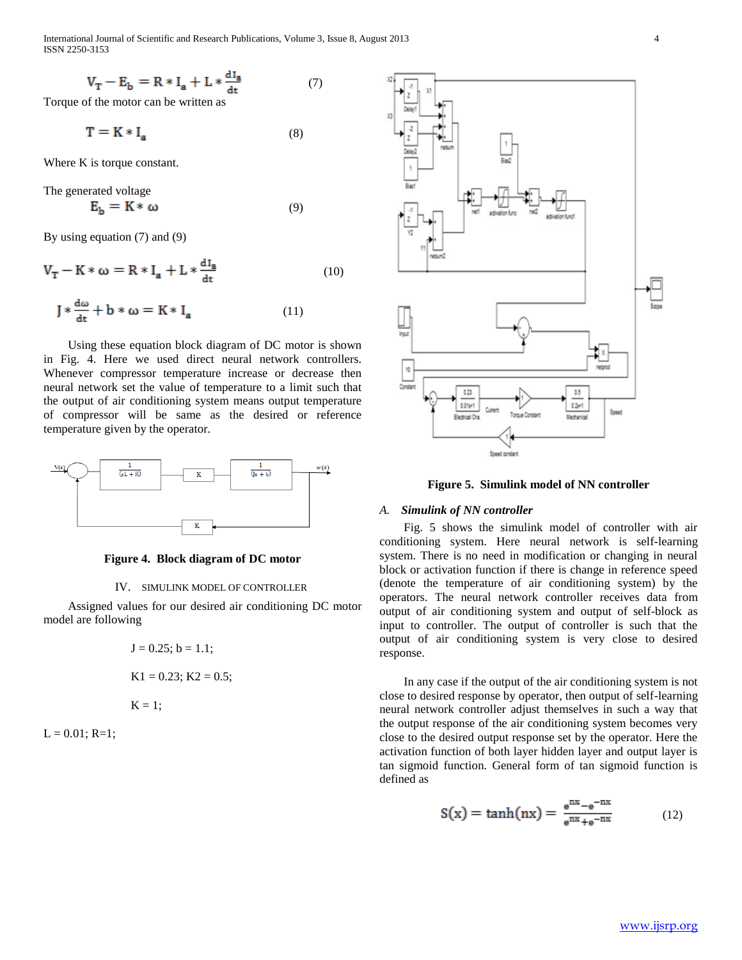International Journal of Scientific and Research Publications, Volume 3, Issue 8, August 2013 4 ISSN 2250-3153

$$
V_T - E_b = R * I_a + L * \frac{dI_a}{dt} \tag{7}
$$

Torque of the motor can be written as

$$
\mathbf{T} = \mathbf{K} * \mathbf{I}_{\mathbf{a}} \tag{8}
$$

Where K is torque constant.

The generated voltage

$$
E_b = K * \omega \tag{9}
$$

By using equation (7) and (9)

$$
V_T - K * \omega = R * I_a + L * \frac{dI_a}{dt}
$$
 (10)

$$
J * \frac{d\omega}{dt} + b * \omega = K * I_a \tag{11}
$$

 Using these equation block diagram of DC motor is shown in Fig. 4. Here we used direct neural network controllers. Whenever compressor temperature increase or decrease then neural network set the value of temperature to a limit such that the output of air conditioning system means output temperature of compressor will be same as the desired or reference temperature given by the operator.



## **Figure 4. Block diagram of DC motor**

## IV. SIMULINK MODEL OF CONTROLLER

 Assigned values for our desired air conditioning DC motor model are following

$$
J = 0.25; b = 1.1;
$$
  
 
$$
K1 = 0.23; K2 = 0.5;
$$
  
 
$$
K = 1;
$$

 $L = 0.01; R=1;$ 



**Figure 5. Simulink model of NN controller**

## *A. Simulink of NN controller*

 Fig. 5 shows the simulink model of controller with air conditioning system. Here neural network is self-learning system. There is no need in modification or changing in neural block or activation function if there is change in reference speed (denote the temperature of air conditioning system) by the operators. The neural network controller receives data from output of air conditioning system and output of self-block as input to controller. The output of controller is such that the output of air conditioning system is very close to desired response.

 In any case if the output of the air conditioning system is not close to desired response by operator, then output of self-learning neural network controller adjust themselves in such a way that the output response of the air conditioning system becomes very close to the desired output response set by the operator. Here the activation function of both layer hidden layer and output layer is tan sigmoid function. General form of tan sigmoid function is defined as

$$
S(x) = \tanh(nx) = \frac{e^{nx} - e^{-nx}}{e^{nx} + e^{-nx}} \tag{12}
$$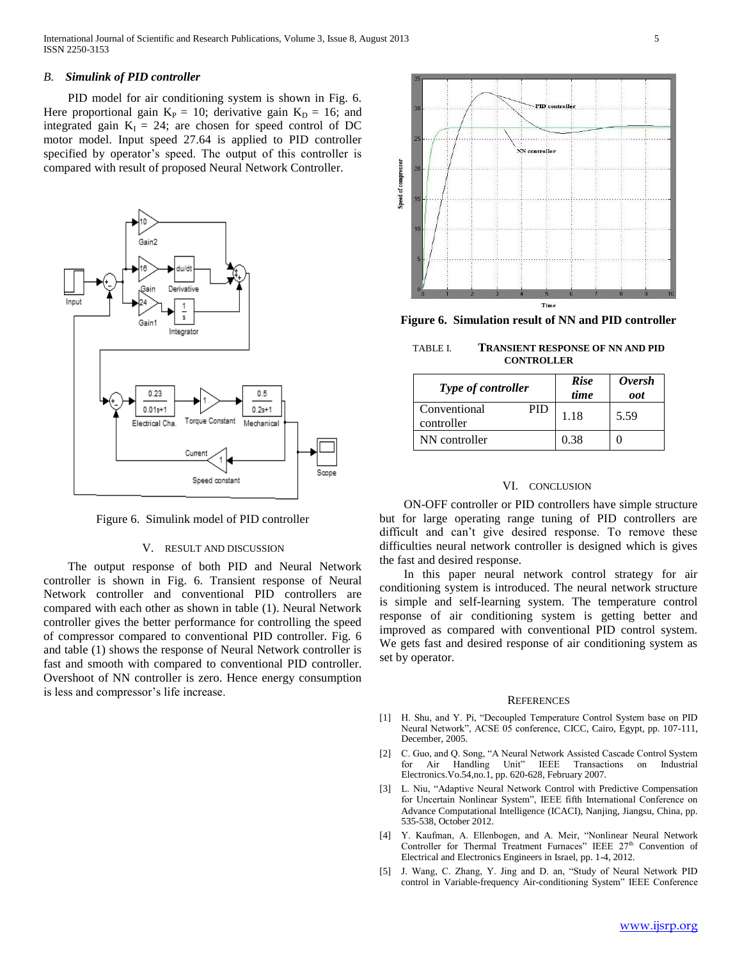## *B. Simulink of PID controller*

PID model for air conditioning system is shown in Fig. 6. Here proportional gain  $K_P = 10$ ; derivative gain  $K_D = 16$ ; and integrated gain  $K_I = 24$ ; are chosen for speed control of DC motor model. Input speed 27.64 is applied to PID controller specified by operator's speed. The output of this controller is compared with result of proposed Neural Network Controller.



Figure 6. Simulink model of PID controller

## V. RESULT AND DISCUSSION

 The output response of both PID and Neural Network controller is shown in Fig. 6. Transient response of Neural Network controller and conventional PID controllers are compared with each other as shown in table (1). Neural Network controller gives the better performance for controlling the speed of compressor compared to conventional PID controller. Fig. 6 and table (1) shows the response of Neural Network controller is fast and smooth with compared to conventional PID controller. Overshoot of NN controller is zero. Hence energy consumption is less and compressor's life increase.



**Figure 6. Simulation result of NN and PID controller**

TABLE I. **TRANSIENT RESPONSE OF NN AND PID CONTROLLER**

| <b>Type of controller</b>         | <b>Rise</b><br>time | <i><b>Oversh</b></i><br>oot |
|-----------------------------------|---------------------|-----------------------------|
| Conventional<br>PID<br>controller | 1.18                | 5.59                        |
| NN controller                     | 0.38                |                             |

#### VI. CONCLUSION

 ON-OFF controller or PID controllers have simple structure but for large operating range tuning of PID controllers are difficult and can't give desired response. To remove these difficulties neural network controller is designed which is gives the fast and desired response.

 In this paper neural network control strategy for air conditioning system is introduced. The neural network structure is simple and self-learning system. The temperature control response of air conditioning system is getting better and improved as compared with conventional PID control system. We gets fast and desired response of air conditioning system as set by operator.

#### **REFERENCES**

- [1] H. Shu, and Y. Pi, "Decoupled Temperature Control System base on PID Neural Network", ACSE 05 conference, CICC, Cairo, Egypt, pp. 107-111, December, 2005.
- [2] C. Guo, and Q. Song, "A Neural Network Assisted Cascade Control System for Air Handling Unit" IEEE Transactions on Industrial Electronics.Vo.54,no.1, pp. 620-628, February 2007.
- [3] L. Niu, "Adaptive Neural Network Control with Predictive Compensation for Uncertain Nonlinear System", IEEE fifth International Conference on Advance Computational Intelligence (ICACI), Nanjing, Jiangsu, China, pp. 535-538, October 2012.
- [4] Y. Kaufman, A. Ellenbogen, and A. Meir, "Nonlinear Neural Network Controller for Thermal Treatment Furnaces" IEEE 27<sup>th</sup> Convention of Electrical and Electronics Engineers in Israel, pp. 1-4, 2012.
- [5] J. Wang, C. Zhang, Y. Jing and D. an, "Study of Neural Network PID control in Variable-frequency Air-conditioning System" IEEE Conference